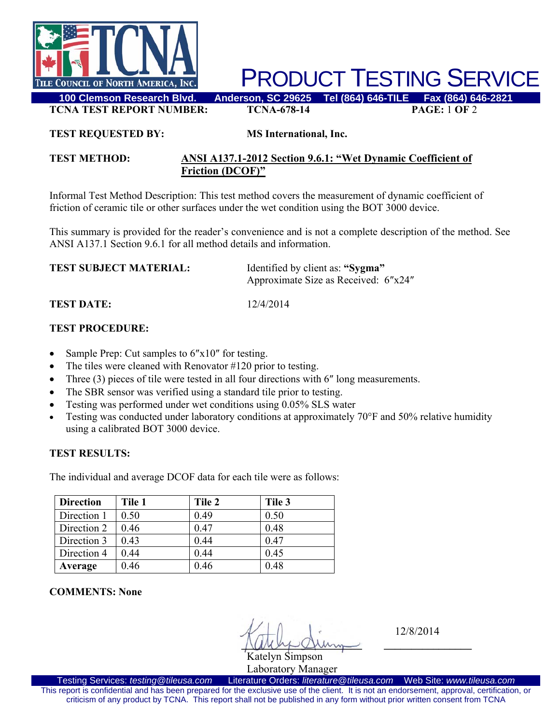

PRODUCT TESTING SERVICE

**TCNA TEST REPORT NUMBER: TCNA-678-14 PAGE:** 1 **OF** 2

#### **TEST REQUESTED BY: MS International, Inc.**

## **TEST METHOD: ANSI A137.1-2012 Section 9.6.1: "Wet Dynamic Coefficient of Friction (DCOF)"**

Informal Test Method Description: This test method covers the measurement of dynamic coefficient of friction of ceramic tile or other surfaces under the wet condition using the BOT 3000 device.

This summary is provided for the reader's convenience and is not a complete description of the method. See ANSI A137.1 Section 9.6.1 for all method details and information.

| <b>TEST SUBJECT MATERIAL:</b> | Identified by client as: "Sygma"     |  |
|-------------------------------|--------------------------------------|--|
|                               | Approximate Size as Received: 6"x24" |  |

**TEST DATE:** 12/4/2014

# **TEST PROCEDURE:**

- Sample Prep: Cut samples to  $6''x10''$  for testing.
- The tiles were cleaned with Renovator #120 prior to testing.
- Three (3) pieces of tile were tested in all four directions with 6" long measurements.
- The SBR sensor was verified using a standard tile prior to testing.
- Testing was performed under wet conditions using 0.05% SLS water
- Testing was conducted under laboratory conditions at approximately 70°F and 50% relative humidity using a calibrated BOT 3000 device.

## **TEST RESULTS:**

The individual and average DCOF data for each tile were as follows:

| <b>Direction</b> | Tile 1 | Tile 2 | Tile 3 |
|------------------|--------|--------|--------|
| Direction 1      | 0.50   | 0.49   | 0.50   |
| Direction 2      | 0.46   | 0.47   | 0.48   |
| Direction 3      | 0.43   | 0.44   | 0.47   |
| Direction 4      | 0.44   | 0.44   | 0.45   |
| Average          | 0.46   | 0.46   | 0.48   |

**COMMENTS: None** 

 $\sqrt{M\omega}$ Katelyn Simpson

12/8/2014

Laboratory Manager<br>Literature Orders: literature@tileusa.com Testing Services: *testing@tileusa.com* Literature Orders: *literature@tileusa.com* Web Site: *www.tileusa.com* This report is confidential and has been prepared for the exclusive use of the client. It is not an endorsement, approval, certification, or criticism of any product by TCNA. This report shall not be published in any form without prior written consent from TCNA